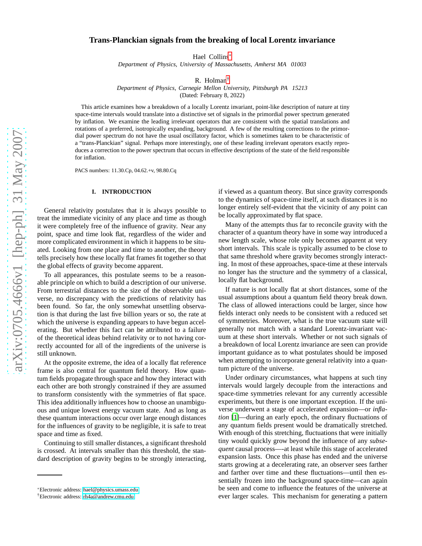# **Trans-Planckian signals from the breaking of local Lorentz invariance**

Hael Collins[∗](#page-0-0)

*Department of Physics, University of Massachusetts, Amherst MA 01003*

R. Holman[†](#page-0-1)

*Department of Physics, Carnegie Mellon University, Pittsburgh PA 15213*

(Dated: February 8, 2022)

This article examines how a breakdown of a locally Lorentz invariant, point-like description of nature at tiny space-time intervals would translate into a distinctive set of signals in the primordial power spectrum generated by inflation. We examine the leading irrelevant operators that are consistent with the spatial translations and rotations of a preferred, isotropically expanding, background. A few of the resulting corrections to the primordial power spectrum do not have the usual oscillatory factor, which is sometimes taken to be characteristic of a "trans-Planckian" signal. Perhaps more interestingly, one of these leading irrelevant operators exactly reproduces a correction to the power spectrum that occurs in effective descriptions of the state of the field responsible for inflation.

PACS numbers: 11.30.Cp, 04.62.+v, 98.80.Cq

## **I. INTRODUCTION**

General relativity postulates that it is always possible to treat the immediate vicinity of any place and time as though it were completely free of the influence of gravity. Near any point, space and time look flat, regardless of the wider and more complicated environment in which it happens to be situated. Looking from one place and time to another, the theory tells precisely how these locally flat frames fit together so that the global effects of gravity become apparent.

To all appearances, this postulate seems to be a reasonable principle on which to build a description of our universe. From terrestrial distances to the size of the observable universe, no discrepancy with the predictions of relativity has been found. So far, the only somewhat unsettling observation is that during the last five billion years or so, the rate at which the universe is expanding appears to have begun accelerating. But whether this fact can be attributed to a failure of the theoretical ideas behind relativity or to not having correctly accounted for all of the ingredients of the universe is still unknown.

At the opposite extreme, the idea of a locally flat reference frame is also central for quantum field theory. How quantum fields propagate through space and how they interact with each other are both strongly constrained if they are assumed to transform consistently with the symmetries of flat space. This idea additionally influences how to choose an unambiguous and unique lowest energy vacuum state. And as long as these quantum interactions occur over large enough distances for the influences of gravity to be negligible, it is safe to treat space and time as fixed.

Continuing to still smaller distances, a significant threshold is crossed. At intervals smaller than this threshold, the standard description of gravity begins to be strongly interacting,

if viewed as a quantum theory. But since gravity corresponds to the dynamics of space-time itself, at such distances it is no longer entirely self-evident that the vicinity of any point can be locally approximated by flat space.

Many of the attempts thus far to reconcile gravity with the character of a quantum theory have in some way introduced a new length scale, whose role only becomes apparent at very short intervals. This scale is typically assumed to be close to that same threshold where gravity becomes strongly interacting. In most of these approaches, space-time at these intervals no longer has the structure and the symmetry of a classical, locally flat background.

If nature is not locally flat at short distances, some of the usual assumptions about a quantum field theory break down. The class of allowed interactions could be larger, since how fields interact only needs to be consistent with a reduced set of symmetries. Moreover, what is the true vacuum state will generally not match with a standard Lorentz-invariant vacuum at these short intervals. Whether or not such signals of a breakdown of local Lorentz invariance are seen can provide important guidance as to what postulates should be imposed when attempting to incorporate general relativity into a quantum picture of the universe.

Under ordinary circumstances, what happens at such tiny intervals would largely decouple from the interactions and space-time symmetries relevant for any currently accessible experiments, but there is one important exception. If the universe underwent a stage of accelerated expansion—or *inflation* [\[1](#page-9-0)]—during an early epoch, the ordinary fluctuations of any quantum fields present would be dramatically stretched. With enough of this stretching, fluctuations that were initially tiny would quickly grow beyond the influence of any *subsequent* causal process—-at least while this stage of accelerated expansion lasts. Once this phase has ended and the universe starts growing at a decelerating rate, an observer sees farther and farther over time and these fluctuations—until then essentially frozen into the background space-time—can again be seen and come to influence the features of the universe at ever larger scales. This mechanism for generating a pattern

<span id="page-0-0"></span><sup>∗</sup>Electronic address: [hael@physics.umass.edu](mailto:hael@physics.umass.edu)

<span id="page-0-1"></span><sup>†</sup>Electronic address: [rh4a@andrew.cmu.edu](mailto:rh4a@andrew.cmu.edu)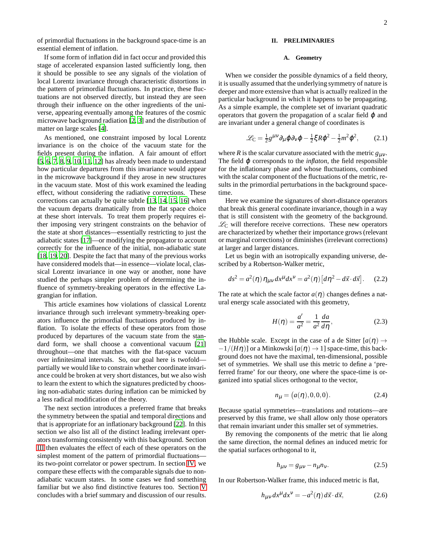of primordial fluctuations in the background space-time is an essential element of inflation.

If some form of inflation did in fact occur and provided this stage of accelerated expansion lasted sufficiently long, then it should be possible to see any signals of the violation of local Lorentz invariance through characteristic distortions in the pattern of primordial fluctuations. In practice, these fluctuations are not observed directly, but instead they are seen through their influence on the other ingredients of the universe, appearing eventually among the features of the cosmic microwave background radiation [\[2,](#page-9-1) [3\]](#page-9-2) and the distribution of matter on large scales [\[4](#page-9-3)].

As mentioned, one constraint imposed by local Lorentz invariance is on the choice of the vacuum state for the fields present during the inflation. A fair amount of effort [\[5](#page-10-0), [6](#page-10-1), [7](#page-10-2), [8](#page-10-3), [9](#page-10-4), [10,](#page-10-5) [11,](#page-10-6) [12\]](#page-10-7) has already been made to understand how particular departures from this invariance would appear in the microwave background if they arose in new structures in the vacuum state. Most of this work examined the leading effect, without considering the radiative corrections. These corrections can actually be quite subtle [\[13](#page-10-8), [14](#page-10-9), [15](#page-10-10), [16\]](#page-10-11) when the vacuum departs dramatically from the flat space choice at these short intervals. To treat them properly requires either imposing very stringent constraints on the behavior of the state at short distances—essentially restricting to just the adiabatic states [\[17](#page-10-12)]—or modifying the propagator to account correctly for the influence of the initial, non-adiabatic state [\[18](#page-10-13), [19](#page-10-14), [20](#page-10-15)]. Despite the fact that many of the previous works have considered models that—in essence—violate local, classical Lorentz invariance in one way or another, none have studied the perhaps simpler problem of determining the influence of symmetry-breaking operators in the effective Lagrangian for inflation.

This article examines how violations of classical Lorentz invariance through such irrelevant symmetry-breaking operators influence the primordial fluctuations produced by inflation. To isolate the effects of these operators from those produced by departures of the vacuum state from the standard form, we shall choose a conventional vacuum [\[21\]](#page-10-16) throughout—one that matches with the flat-space vacuum over infinitesimal intervals. So, our goal here is twofold partially we would like to constrain whether coordinate invariance could be broken at very short distances, but we also wish to learn the extent to which the signatures predicted by choosing non-adiabatic states during inflation can be mimicked by a less radical modification of the theory.

The next section introduces a preferred frame that breaks the symmetry between the spatial and temporal directions and that is appropriate for an inflationary background [\[22](#page-10-17)]. In this section we also list all of the distinct leading irrelevant operators transforming consistently with this background. Section [III](#page-3-0) then evaluates the effect of each of these operators on the simplest moment of the pattern of primordial fluctuations its two-point correlator or power spectrum. In section [IV,](#page-7-0) we compare these effects with the comparable signals due to nonadiabatic vacuum states. In some cases we find something familiar but we also find distinctive features too. Section [V](#page-8-0) concludes with a brief summary and discussion of our results.

# **II. PRELIMINARIES**

### **A. Geometry**

When we consider the possible dynamics of a field theory, it is usually assumed that the underlying symmetry of nature is deeper and more extensive than what is actually realized in the particular background in which it happens to be propagating. As a simple example, the complete set of invariant quadratic operators that govern the propagation of a scalar field  $\varphi$  and are invariant under a general change of coordinates is

$$
\mathcal{L}_{\rm C} = \frac{1}{2} g^{\mu\nu} \partial_{\mu} \varphi \partial_{\nu} \varphi - \frac{1}{2} \xi R \varphi^2 - \frac{1}{2} m^2 \varphi^2, \qquad (2.1)
$$

where *R* is the scalar curvature associated with the metric  $g_{\mu\nu}$ . The field  $\varphi$  corresponds to the *inflaton*, the field responsible for the inflationary phase and whose fluctuations, combined with the scalar component of the fluctuations of the metric, results in the primordial perturbations in the background spacetime.

Here we examine the signatures of short-distance operators that break this general coordinate invariance, though in a way that is still consistent with the geometry of the background.  $\mathcal{L}_{C}$  will therefore receive corrections. These new operators are characterized by whether their importance grows (relevant or marginal corrections) or diminishes (irrelevant corrections) at larger and larger distances.

Let us begin with an isotropically expanding universe, described by a Robertson-Walker metric,

$$
ds^2 = a^2(\eta) \eta_{\mu\nu} dx^{\mu} dx^{\nu} = a^2(\eta) \left[ d\eta^2 - d\vec{x} \cdot d\vec{x} \right]. \tag{2.2}
$$

The rate at which the scale factor  $a(\eta)$  changes defines a natural energy scale associated with this geometry,

$$
H(\eta) = \frac{a'}{a^2} = \frac{1}{a^2} \frac{da}{d\eta},\tag{2.3}
$$

the Hubble scale. Except in the case of a de Sitter  $[a(\eta) \rightarrow$  $-1/(H\eta)$ ] or a Minkowski  $[a(\eta) \rightarrow 1]$  space-time, this background does not have the maximal, ten-dimensional, possible set of symmetries. We shall use this metric to define a 'preferred frame' for our theory, one where the space-time is organized into spatial slices orthogonal to the vector,

$$
n_{\mu} = (a(\eta), 0, 0, 0). \tag{2.4}
$$

Because spatial symmetries—translations and rotations—are preserved by this frame, we shall allow only those operators that remain invariant under this smaller set of symmetries.

By removing the components of the metric that lie along the same direction, the normal defines an induced metric for the spatial surfaces orthogonal to it,

$$
h_{\mu\nu} = g_{\mu\nu} - n_{\mu}n_{\nu}.\tag{2.5}
$$

In our Robertson-Walker frame, this induced metric is flat,

$$
h_{\mu\nu} dx^{\mu} dx^{\nu} = -a^2(\eta) d\vec{x} \cdot d\vec{x}, \qquad (2.6)
$$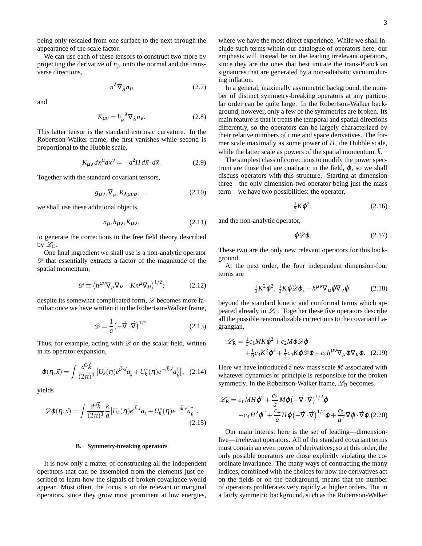being only rescaled from one surface to the next through the appearance of the scale factor.

We can use each of these tensors to construct two more by projecting the derivative of  $n<sub>\mu</sub>$  onto the normal and the transverse directions,

$$
n^{\lambda}\nabla_{\lambda}n_{\mu} \tag{2.7}
$$

and

$$
K_{\mu\nu} = h_{\mu}^{\ \lambda} \nabla_{\lambda} n_{\nu}.
$$
 (2.8)

This latter tensor is the standard extrinsic curvature. In the Robertson-Walker frame, the first vanishes while second is proportional to the Hubble scale,

$$
K_{\mu\nu} dx^{\mu} dx^{\nu} = -a^2 H d\vec{x} \cdot d\vec{x}.
$$
 (2.9)

Together with the standard covariant tensors,

$$
g_{\mu\nu}, \nabla_{\mu}, R_{\lambda\mu\nu\sigma}, \dots \tag{2.10}
$$

we shall use these additional objects,

$$
n_{\mu}, h_{\mu\nu}, K_{\mu\nu}, \tag{2.11}
$$

to generate the corrections to the free field theory described by  $\mathscr{L}_C$ .

One final ingredient we shall use is a non-analytic operator  $\mathscr{D}$  that essentially extracts a factor of the magnitude of the spatial momentum,

<span id="page-2-0"></span>
$$
\mathscr{D} \equiv \left( h^{\mu\nu} \nabla_{\mu} \nabla_{\nu} - K n^{\mu} \nabla_{\mu} \right)^{1/2};\tag{2.12}
$$

despite its somewhat complicated form,  $\mathscr{D}$  becomes more familiar once we have written it in the Robertson-Walker frame,

$$
\mathcal{D} = \frac{1}{a} \left( -\vec{\nabla} \cdot \vec{\nabla} \right)^{1/2}.
$$
 (2.13)

Thus, for example, acting with  $\mathscr D$  on the scalar field, written in its operator expansion,

$$
\varphi(\eta,\vec{x}) = \int \frac{d^3\vec{k}}{(2\pi)^3} \left[ U_k(\eta) e^{i\vec{k}\cdot\vec{x}} a_{\vec{k}} + U_k^*(\eta) e^{-i\vec{k}\cdot\vec{x}} a_{\vec{k}}^\dagger \right], \quad (2.14)
$$

yields

$$
\mathscr{D}\varphi(\eta,\vec{x}) = \int \frac{d^3\vec{k}}{(2\pi)^3} \frac{k}{a} \left[ U_k(\eta) e^{i\vec{k}\cdot\vec{x}} a_{\vec{k}} + U_k^*(\eta) e^{-i\vec{k}\cdot\vec{x}} a_{\vec{k}}^\dagger \right].
$$
\n(2.15)

### **B. Symmetry-breaking operators**

It is now only a matter of constructing all the independent operators that can be assembled from the elements just described to learn how the signals of broken covariance would appear. Most often, the focus is on the relevant or marginal operators, since they grow most prominent at low energies, where we have the most direct experience. While we shall include such terms within our catalogue of operators here, our emphasis will instead be on the leading irrelevant operators, since they are the ones that best imitate the trans-Planckian signatures that are generated by a non-adiabatic vacuum during inflation.

In a general, maximally asymmetric background, the number of distinct symmetry-breaking operators at any particular order can be quite large. In the Robertson-Walker background, however, only a few of the symmetries are broken. Its main feature is that it treats the temporal and spatial directions differently, so the operators can be largely characterized by their relative numbers of time and space derivatives. The former scale maximally as some power of *H*, the Hubble scale, while the latter scale as powers of the spatial momentum,  $\vec{k}$ .

The simplest class of corrections to modify the power spectrum are those that are quadratic in the field,  $\varphi$ , so we shall discuss operators with this structure. Starting at dimension three—the only dimension-two operator being just the mass term—we have two possibilities: the operator,

$$
\frac{1}{3}K\varphi^2,\tag{2.16}
$$

and the non-analytic operator,

$$
\varphi \mathscr{D} \varphi. \tag{2.17}
$$

These two are the only new relevant operators for this background.

At the next order, the four independent dimension-four terms are

$$
\frac{1}{9}K^2\varphi^2, \ \frac{1}{3}K\varphi\mathscr{D}\varphi, \ -h^{\mu\nu}\nabla_{\mu}\varphi\nabla_{\nu}\varphi, \qquad (2.18)
$$

beyond the standard kinetic and conformal terms which appeared already in  $\mathcal{L}_C$ . Together these five operators describe all the possible renormalizable corrections to the covariant Lagrangian,

$$
\mathcal{L}_{\mathsf{R}} = \frac{1}{3} c_1 M K \varphi^2 + c_2 M \varphi \mathcal{D} \varphi + \frac{1}{9} c_3 K^2 \varphi^2 + \frac{1}{3} c_4 K \varphi \mathcal{D} \varphi - c_5 h^{\mu \nu} \nabla_{\mu} \varphi \nabla_{\nu} \varphi.
$$
 (2.19)

Here we have introduced a new mass scale *M* associated with whatever dynamics or principle is responsible for the broken symmetry. In the Robertson-Walker frame,  $\mathcal{L}_R$  becomes

$$
\mathcal{L}_{\mathsf{R}} = c_1 M H \varphi^2 + \frac{c_2}{a} M \varphi \left( -\vec{\nabla} \cdot \vec{\nabla} \right)^{1/2} \varphi + c_3 H^2 \varphi^2 + \frac{c_4}{a} H \varphi \left( -\vec{\nabla} \cdot \vec{\nabla} \right)^{1/2} \varphi + \frac{c_5}{a^2} \vec{\nabla} \varphi \cdot \vec{\nabla} \varphi. (2.20)
$$

Our main interest here is the set of leading—dimensionfive—irrelevant operators. All of the standard covariant terms must contain an even power of derivatives; so at this order, the only possible operators are those explicitly violating the coordinate invariance. The many ways of contracting the many indices, combined with the choices for how the derivatives act on the fields or on the background, means that the number of operators proliferates very rapidly at higher orders. But in a fairly symmetric background, such as the Robertson-Walker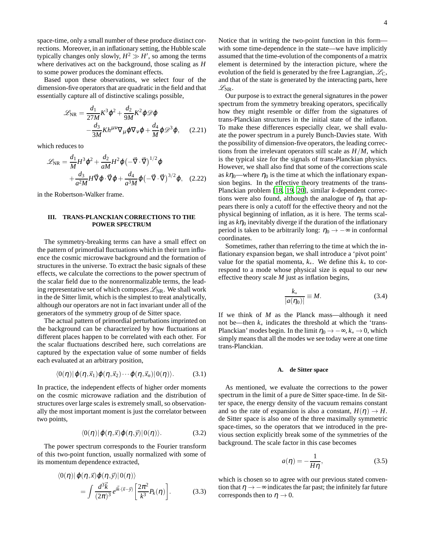space-time, only a small number of these produce distinct corrections. Moreover, in an inflationary setting, the Hubble scale typically changes only slowly,  $H^2 \gg H'$ , so among the terms where derivatives act on the background, those scaling as *H* to some power produces the dominant effects.

Based upon these observations, we select four of the dimension-five operators that are quadratic in the field and that essentially capture all of distinctive scalings possible,

$$
\mathcal{L}_{\text{NR}} = \frac{d_1}{27M} K^3 \varphi^2 + \frac{d_2}{9M} K^2 \varphi \mathcal{D} \varphi -\frac{d_3}{3M} K h^{\mu\nu} \nabla_{\mu} \varphi \nabla_{\nu} \varphi + \frac{d_4}{M} \varphi \mathcal{D}^3 \varphi, \quad (2.21)
$$

which reduces to

<span id="page-3-1"></span>
$$
\mathcal{L}_{\text{NR}} = \frac{d_1}{M} H^3 \varphi^2 + \frac{d_2}{aM} H^2 \varphi \left( -\vec{\nabla} \cdot \vec{\nabla} \right)^{1/2} \varphi + \frac{d_3}{a^2 M} H \vec{\nabla} \varphi \cdot \vec{\nabla} \varphi + \frac{d_4}{a^3 M} \varphi \left( -\vec{\nabla} \cdot \vec{\nabla} \right)^{3/2} \varphi, \quad (2.22)
$$

in the Robertson-Walker frame.

### <span id="page-3-0"></span>**III. TRANS-PLANCKIAN CORRECTIONS TO THE POWER SPECTRUM**

The symmetry-breaking terms can have a small effect on the pattern of primordial fluctuations which in their turn influence the cosmic microwave background and the formation of structures in the universe. To extract the basic signals of these effects, we calculate the corrections to the power spectrum of the scalar field due to the nonrenormalizable terms, the leading representative set of which composes  $\mathcal{L}_{NR}$ . We shall work in the de Sitter limit, which is the simplest to treat analytically, although our operators are not in fact invariant under all of the generators of the symmetry group of de Sitter space.

The actual pattern of primordial perturbations imprinted on the background can be characterized by how fluctuations at different places happen to be correlated with each other. For the scalar fluctuations described here, such correlations are captured by the expectation value of some number of fields each evaluated at an arbitrary position,

$$
\langle 0(\eta) | \varphi(\eta, \vec{x}_1) \varphi(\eta, \vec{x}_2) \cdots \varphi(\eta, \vec{x}_n) | 0(\eta) \rangle. \tag{3.1}
$$

In practice, the independent effects of higher order moments on the cosmic microwave radiation and the distribution of structures over large scales is extremely small, so observationally the most important moment is just the correlator between two points,

$$
\langle 0(\eta) | \varphi(\eta, \vec{x}) \varphi(\eta, \vec{y}) | 0(\eta) \rangle. \tag{3.2}
$$

The power spectrum corresponds to the Fourier transform of this two-point function, usually normalized with some of its momentum dependence extracted,

$$
\langle 0(\eta) | \varphi(\eta, \vec{x}) \varphi(\eta, \vec{y}) | 0(\eta) \rangle = \int \frac{d^3 \vec{k}}{(2\pi)^3} e^{i\vec{k} \cdot (\vec{x} - \vec{y})} \left[ \frac{2\pi^2}{k^3} P_k(\eta) \right].
$$
 (3.3)

Notice that in writing the two-point function in this form with some time-dependence in the state—we have implicitly assumed that the time-evolution of the components of a matrix element is determined by the interaction picture, where the evolution of the field is generated by the free Lagrangian,  $\mathcal{L}_C$ , and that of the state is generated by the interacting parts, here  $\mathscr{L}_{\text{NR}}$ .

Our purpose is to extract the general signatures in the power spectrum from the symmetry breaking operators, specifically how they might resemble or differ from the signatures of trans-Planckian structures in the initial state of the inflaton. To make these differences especially clear, we shall evaluate the power spectrum in a purely Bunch-Davies state. With the possibility of dimension-five operators, the leading corrections from the irrelevant operators still scale as *H*/*M*, which is the typical size for the signals of trans-Planckian physics. However, we shall also find that some of the corrections scale as  $k\eta_0$ —where  $\eta_0$  is the time at which the inflationary expansion begins. In the effective theory treatments of the trans-Planckian problem [\[18,](#page-10-13) [19,](#page-10-14) [20](#page-10-15)], similar *k*-dependent corrections were also found, although the analogue of  $\eta_0$  that appears there is only a cutoff for the effective theory and not the physical beginning of inflation, as it is here. The terms scaling as  $k\eta_0$  inevitably diverge if the duration of the inflationary period is taken to be arbitrarily long:  $\eta_0 \rightarrow -\infty$  in conformal coordinates.

Sometimes, rather than referring to the time at which the inflationary expansion began, we shall introduce a 'pivot point' value for the spatial momenta, *k*∗. We define this *k*<sup>∗</sup> to correspond to a mode whose physical size is equal to our new effective theory scale *M* just as inflation begins,

$$
\frac{k_*}{|a(\eta_0)|} \equiv M. \tag{3.4}
$$

If we think of *M* as the Planck mass—although it need not be—then *k*<sup>∗</sup> indicates the threshold at which the 'trans-Planckian' modes begin. In the limit  $\eta_0 \to -\infty$ ,  $k_* \to 0$ , which simply means that all the modes we see today were at one time trans-Planckian.

### **A. de Sitter space**

As mentioned, we evaluate the corrections to the power spectrum in the limit of a pure de Sitter space-time. In de Sitter space, the energy density of the vacuum remains constant and so the rate of expansion is also a constant,  $H(\eta) \to H$ . de Sitter space is also one of the three maximally symmetric space-times, so the operators that we introduced in the previous section explicitly break some of the symmetries of the background. The scale factor in this case becomes

$$
a(\eta) = -\frac{1}{H\eta},\tag{3.5}
$$

which is chosen so to agree with our previous stated convention that  $\eta \rightarrow -\infty$  indicates the far past; the infinitely far future corresponds then to  $\eta \rightarrow 0$ .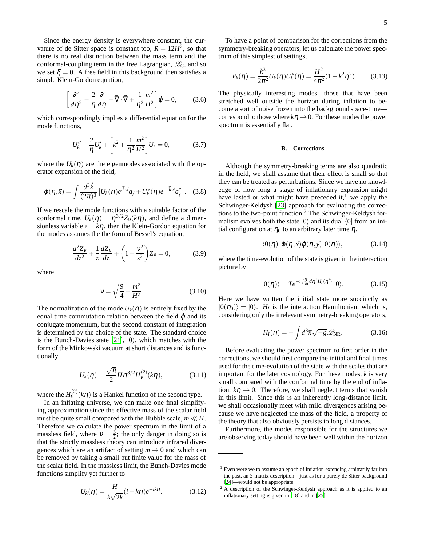Since the energy density is everywhere constant, the curvature of de Sitter space is constant too,  $R = 12H^2$ , so that there is no real distinction between the mass term and the conformal-coupling term in the free Lagrangian,  $\mathcal{L}_C$ , and so we set  $\xi = 0$ . A free field in this background then satisfies a simple Klein-Gordon equation,

$$
\left[\frac{\partial^2}{\partial \eta^2} - \frac{2}{\eta} \frac{\partial}{\partial \eta} - \vec{\nabla} \cdot \vec{\nabla} + \frac{1}{\eta^2} \frac{m^2}{H^2}\right] \varphi = 0, \quad (3.6)
$$

which correspondingly implies a differential equation for the mode functions,

$$
U''_k - \frac{2}{\eta} U'_k + \left[ k^2 + \frac{1}{\eta^2} \frac{m^2}{H^2} \right] U_k = 0, \tag{3.7}
$$

where the  $U_k(\eta)$  are the eigenmodes associated with the operator expansion of the field,

$$
\varphi(\eta,\vec{x}) = \int \frac{d^3\vec{k}}{(2\pi)^3} \left[ U_k(\eta) e^{i\vec{k}\cdot\vec{x}} a_{\vec{k}} + U_k^*(\eta) e^{-i\vec{k}\cdot\vec{x}} a_{\vec{k}}^\dagger \right]. \tag{3.8}
$$

If we rescale the mode functions with a suitable factor of the conformal time,  $U_k(\eta) = \eta^{3/2} Z_{\nu}(k\eta)$ , and define a dimensionless variable  $z = k\eta$ , then the Klein-Gordon equation for the modes assumes the the form of Bessel's equation,

$$
\frac{d^2Z_v}{dz^2} + \frac{1}{z}\frac{dZ_v}{dz} + \left(1 - \frac{v^2}{z^2}\right)Z_v = 0,\tag{3.9}
$$

where

<span id="page-4-0"></span>
$$
v = \sqrt{\frac{9}{4} - \frac{m^2}{H^2}}.
$$
 (3.10)

The normalization of the mode  $U_k(\eta)$  is entirely fixed by the equal time commutation relation between the field  $\varphi$  and its conjugate momentum, but the second constant of integration is determined by the choice of the state. The standard choice is the Bunch-Davies state [\[21\]](#page-10-16),  $|0\rangle$ , which matches with the form of the Minkowski vacuum at short distances and is functionally

$$
U_k(\eta) = \frac{\sqrt{\pi}}{2} H \eta^{3/2} H_{\nu}^{(2)}(k\eta), \qquad (3.11)
$$

where the  $H_V^{(2)}(k\eta)$  is a Hankel function of the second type.

In an inflating universe, we can make one final simplifying approximation since the effective mass of the scalar field must be quite small compared with the Hubble scale,  $m \ll H$ . Therefore we calculate the power spectrum in the limit of a massless field, where  $v = \frac{3}{2}$ ; the only danger in doing so is that the strictly massless theory can introduce infrared divergences which are an artifact of setting  $m \to 0$  and which can be removed by taking a small but finite value for the mass of the scalar field. In the massless limit, the Bunch-Davies mode functions simplify yet further to

$$
U_k(\eta) = \frac{H}{k\sqrt{2k}}(i - k\eta)e^{-ik\eta}.
$$
 (3.12)

To have a point of comparison for the corrections from the symmetry-breaking operators, let us calculate the power spectrum of this simplest of settings,

$$
P_k(\eta) = \frac{k^3}{2\pi^2} U_k(\eta) U_k^*(\eta) = \frac{H^2}{4\pi^2} (1 + k^2 \eta^2).
$$
 (3.13)

The physically interesting modes—those that have been stretched well outside the horizon during inflation to become a sort of noise frozen into the background space-time correspond to those where  $k\eta \rightarrow 0$ . For these modes the power spectrum is essentially flat.

#### **B. Corrections**

Although the symmetry-breaking terms are also quadratic in the field, we shall assume that their effect is small so that they can be treated as perturbations. Since we have no knowledge of how long a stage of inflationary expansion might have lasted or what might have preceded it,<sup>1</sup> we apply the Schwinger-Keldysh [\[23\]](#page-10-18) approach for evaluating the corrections to the two-point function.<sup>2</sup> The Schwinger-Keldysh formalism evolves both the state  $|0\rangle$  and its dual  $\langle 0|$  from an initial configuration at  $\eta_0$  to an arbitrary later time  $\eta$ ,

$$
\langle 0(\eta)|\varphi(\eta,\vec{x})\varphi(\eta,\vec{y})|0(\eta)\rangle, \qquad (3.14)
$$

where the time-evolution of the state is given in the interaction picture by

$$
|0(\eta)\rangle = Te^{-i\int_{\eta_0}^{\eta}d\eta' H_I(\eta')}|0\rangle.
$$
 (3.15)

Here we have written the initial state more succinctly as  $|0(\eta_0)\rangle = |0\rangle$ . *H<sub>I</sub>* is the interaction Hamiltonian, which is, considering only the irrelevant symmetry-breaking operators,

$$
H_I(\eta) = -\int d^3 \vec{x} \sqrt{-g} \mathscr{L}_{\text{NR}}.\tag{3.16}
$$

Before evaluating the power spectrum to first order in the corrections, we should first compare the initial and final times used for the time-evolution of the state with the scales that are important for the later cosmology. For these modes, *k* is very small compared with the conformal time by the end of inflation,  $k\eta \rightarrow 0$ . Therefore, we shall neglect terms that vanish in this limit. Since this is an inherently long-distance limit, we shall occasionally meet with mild divergences arising because we have neglected the mass of the field, a property of the theory that also obviously persists to long distances.

Furthermore, the modes responsible for the structures we are observing today should have been well within the horizon

<sup>&</sup>lt;sup>1</sup> Even were we to assume an epoch of inflation extending arbitrarily far into the past, an *S*-matrix description—just as for a purely de Sitter background [\[24\]](#page-10-19)—would not be appropriate.

<sup>&</sup>lt;sup>2</sup> A description of the Schwinger-Keldysh approach as it is applied to an inflationary setting is given in [\[18](#page-10-13)] and in [\[25](#page-10-20)].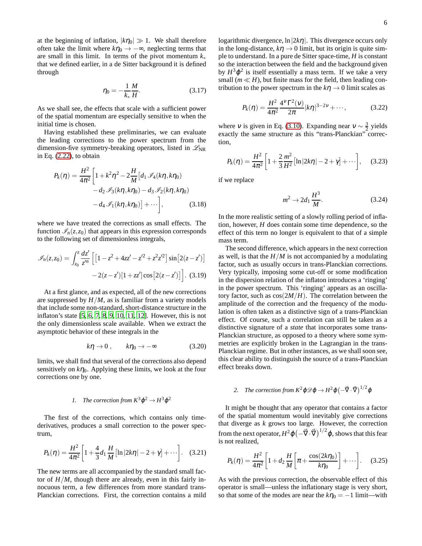at the beginning of inflation,  $|k\eta_0| \gg 1$ . We shall therefore often take the limit where  $k\eta_0 \rightarrow -\infty$ , neglecting terms that are small in this limit. In terms of the pivot momentum *k*<sup>∗</sup> that we defined earlier, in a de Sitter background it is defined through

$$
\eta_0 = -\frac{1}{k_*} \frac{M}{H}.
$$
\n(3.17)

As we shall see, the effects that scale with a sufficient power of the spatial momentum are especially sensitive to when the initial time is chosen.

Having established these preliminaries, we can evaluate the leading corrections to the power spectrum from the dimension-five symmetry-breaking operators, listed in  $\mathscr{L}_{NR}$ in Eq. [\(2.22\)](#page-3-1), to obtain

$$
P_k(\eta) = \frac{H^2}{4\pi^2} \left[ 1 + k^2 \eta^2 - 2\frac{H}{M} \left[ d_1 \mathcal{I}_4(k\eta, k\eta_0) - d_2 \mathcal{I}_3(k\eta, k\eta_0) - d_3 \mathcal{I}_2(k\eta, k\eta_0) - d_4 \mathcal{I}_1(k\eta, k\eta_0) \right] + \cdots \right],
$$
 (3.18)

where we have treated the corrections as small effects. The function  $\mathcal{I}_n(z, z_0)$  that appears in this expression corresponds to the following set of dimensionless integrals,

$$
\mathcal{I}_n(z, z_0) = \int_{z_0}^z \frac{dz'}{z'^n} \left[ \left[ 1 - z^2 + 4zz' - z'^2 + z^2 z'^2 \right] \sin \left[ 2(z - z') \right] - 2(z - z') \left[ 1 + zz' \right] \cos \left[ 2(z - z') \right] \right].
$$
 (3.19)

At a first glance, and as expected, all of the new corrections are suppressed by  $H/M$ , as is familiar from a variety models that include some non-standard, short-distance structure in the inflaton's state [\[5](#page-10-0), [6](#page-10-1), [7,](#page-10-2) [8,](#page-10-3) [9](#page-10-4), [10](#page-10-5), [11,](#page-10-6) [12\]](#page-10-7). However, this is not the only dimensionless scale available. When we extract the asymptotic behavior of these integrals in the

$$
k\eta \to 0 \,, \qquad k\eta_0 \to -\infty \tag{3.20}
$$

limits, we shall find that several of the corrections also depend sensitively on  $k\eta_0$ . Applying these limits, we look at the four corrections one by one.

# *1. The correction from*  $K^3 \varphi^2 \to H^3 \varphi^2$

The first of the corrections, which contains only timederivatives, produces a small correction to the power spectrum,

$$
P_k(\eta) = \frac{H^2}{4\pi^2} \bigg[ 1 + \frac{4}{3} d_1 \frac{H}{M} \big[ \ln|2k\eta| - 2 + \gamma \big] + \cdots \bigg]. \quad (3.21)
$$

The new terms are all accompanied by the standard small factor of  $H/M$ , though there are already, even in this fairly innocuous term, a few differences from more standard trans-Planckian corrections. First, the correction contains a mild logarithmic divergence,  $\ln|2k\eta|$ . This divergence occurs only in the long-distance,  $k\eta \rightarrow 0$  limit, but its origin is quite simple to understand. In a pure de Sitter space-time, *H* is constant so the interaction between the field and the background given by  $H^3\varphi^2$  is itself essentially a mass term. If we take a very small ( $m \ll H$ ), but finite mass for the field, then leading contribution to the power spectrum in the  $k\eta \to 0$  limit scales as

$$
P_k(\eta) = \frac{H^2}{4\pi^2} \frac{4^V \Gamma^2(\nu)}{2\pi} |k\eta|^{3-2\nu} + \cdots,
$$
 (3.22)

where *v* is given in Eq. [\(3.10\)](#page-4-0). Expanding near  $v \sim \frac{3}{2}$  yields exactly the same structure as this "trans-Planckian" correction,

$$
P_k(\eta) = \frac{H^2}{4\pi^2} \left[ 1 + \frac{2}{3} \frac{m^2}{H^2} \left[ \ln|2k\eta| - 2 + \gamma \right] + \cdots \right], \quad (3.23)
$$

if we replace

$$
m^2 \to 2d_1 \frac{H^3}{M}.\tag{3.24}
$$

In the more realistic setting of a slowly rolling period of inflation, however, *H* does contain some time dependence, so the effect of this term no longer is equivalent to that of a simple mass term.

The second difference, which appears in the next correction as well, is that the *H*/*M* is not accompanied by a modulating factor, such as usually occurs in trans-Planckian corrections. Very typically, imposing some cut-off or some modification in the dispersion relation of the inflaton introduces a 'ringing' in the power spectrum. This 'ringing' appears as an oscillatory factor, such as  $cos(2M/H)$ . The correlation between the amplitude of the correction and the frequency of the modulation is often taken as a distinctive sign of a trans-Planckian effect. Of course, such a correlation can still be taken as a distinctive signature of a *state* that incorporates some trans-Planckian structure, as opposed to a theory where some symmetries are explicitly broken in the Lagrangian in the trans-Planckian regime. But in other instances, as we shall soon see, this clear ability to distinguish the source of a trans-Planckian effect breaks down.

# 2. The correction from  $K^2\mathfrak{g}\mathfrak{D}\mathfrak{g}\to H^2\mathfrak{g}\bigl(-\vec{\nabla}\cdot\vec{\nabla}\bigr)^{1/2}\mathfrak{g}$

It might be thought that any operator that contains a factor of the spatial momentum would inevitably give corrections that diverge as *k* grows too large. However, the correction from the next operator,  $H^2\varphi\left(-\vec{\nabla}\cdot\vec{\nabla}\right)^{1/2}\varphi$ , shows that this fear is not realized,

$$
P_k(\eta) = \frac{H^2}{4\pi^2} \left[ 1 + d_2 \frac{H}{M} \left[ \pi + \frac{\cos(2k\eta_0)}{k\eta_0} \right] + \cdots \right].
$$
 (3.25)

As with the previous correction, the observable effect of this operator is small—unless the inflationary stage is very short, so that some of the modes are near the  $k\eta_0 = -1$  limit—with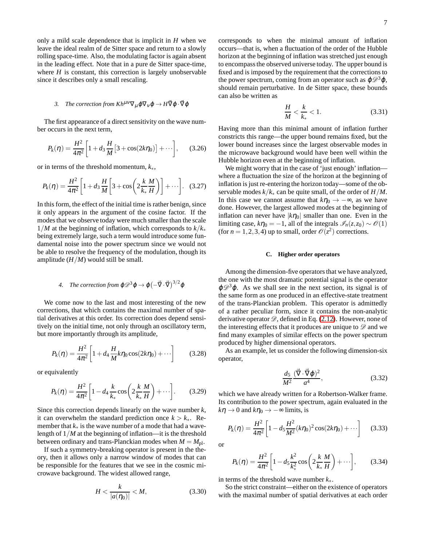only a mild scale dependence that is implicit in *H* when we leave the ideal realm of de Sitter space and return to a slowly rolling space-time. Also, the modulating factor is again absent in the leading effect. Note that in a pure de Sitter space-time, where  $H$  is constant, this correction is largely unobservable since it describes only a small rescaling.

# *3.* The correction from  $Kh^{\mu\nu}\nabla_{\mu}\varphi\nabla_{\nu}\varphi \rightarrow H\vec{\nabla}\varphi\cdot\vec{\nabla}\varphi$

The first appearance of a direct sensitivity on the wave number occurs in the next term,

$$
P_k(\eta) = \frac{H^2}{4\pi^2} \bigg[ 1 + d_3 \frac{H}{M} \big[ 3 + \cos(2k\eta_0) \big] + \cdots \bigg], \qquad (3.26)
$$

or in terms of the threshold momentum, *k*∗,

$$
P_k(\eta) = \frac{H^2}{4\pi^2} \left[ 1 + d_3 \frac{H}{M} \left[ 3 + \cos \left( 2 \frac{k}{k_*} \frac{M}{H} \right) \right] + \cdots \right].
$$
 (3.27)

In this form, the effect of the initial time is rather benign, since it only appears in the argument of the cosine factor. If the modes that we observe today were much smaller than the scale 1/*M* at the beginning of inflation, which corresponds to *k*/*k*<sup>∗</sup> being extremely large, such a term would introduce some fundamental noise into the power spectrum since we would not be able to resolve the frequency of the modulation, though its amplitude  $(H/M)$  would still be small.

4. The correction from 
$$
\varphi \mathcal{D}^3 \varphi \to \varphi \left( -\vec{\nabla} \cdot \vec{\nabla} \right)^{3/2} \varphi
$$

We come now to the last and most interesting of the new corrections, that which contains the maximal number of spatial derivatives at this order. Its correction does depend sensitively on the initial time, not only through an oscillatory term, but more importantly through its amplitude,

$$
P_k(\eta) = \frac{H^2}{4\pi^2} \left[ 1 + d_4 \frac{H}{M} k \eta_0 \cos(2k\eta_0) + \cdots \right]
$$
 (3.28)

or equivalently

$$
P_k(\eta) = \frac{H^2}{4\pi^2} \bigg[ 1 - d_4 \frac{k}{k_*} \cos\bigg( 2 \frac{k}{k_*} \frac{M}{H} \bigg) + \cdots \bigg].
$$
 (3.29)

Since this correction depends linearly on the wave number *k*, it can overwhelm the standard prediction once  $k > k<sub>*</sub>$ . Remember that  $k<sub>∗</sub>$  is the wave number of a mode that had a wavelength of 1/*M* at the beginning of inflation—it is the threshold between ordinary and trans-Planckian modes when  $M = M_{\text{pl}}$ .

If such a symmetry-breaking operator is present in the theory, then it allows only a narrow window of modes that can be responsible for the features that we see in the cosmic microwave background. The widest allowed range,

$$
H < \frac{k}{|a(\eta_0)|} < M,\tag{3.30}
$$

corresponds to when the minimal amount of inflation occurs—that is, when a fluctuation of the order of the Hubble horizon at the beginning of inflation was stretched just enough to encompass the observed universe today. The upper bound is fixed and is imposed by the requirement that the corrections to the power spectrum, coming from an operator such as  $\varphi \mathscr{D}^3 \varphi$ , should remain perturbative. In de Sitter space, these bounds can also be written as

$$
\frac{H}{M} < \frac{k}{k_*} < 1. \tag{3.31}
$$

Having more than this minimal amount of inflation further constricts this range—the upper bound remains fixed, but the lower bound increases since the largest observable modes in the microwave background would have been well within the Hubble horizon even at the beginning of inflation.

We might worry that in the case of 'just enough' inflation where a fluctuation the size of the horizon at the beginning of inflation is just re-entering the horizon today—some of the observable modes *k*/*k*<sup>∗</sup> can be quite small, of the order of *H*/*M*. In this case we cannot assume that  $k\eta_0 \rightarrow -\infty$ , as we have done. However, the largest allowed modes at the beginning of inflation can never have  $|k\eta_0|$  smaller than one. Even in the limiting case,  $k\eta_0 = -1$ , all of the integrals  $\mathscr{I}_n(z, z_0) \sim \mathscr{O}(1)$ (for  $n = 1, 2, 3, 4$ ) up to small, order  $\mathcal{O}(z^2)$  corrections.

### **C. Higher order operators**

Among the dimension-five operators that we have analyzed, the one with the most dramatic potential signal is the operator  $\varphi \mathscr{D}^3 \varphi$ . As we shall see in the next section, its signal is of the same form as one produced in an effective-state treatment of the trans-Planckian problem. This operator is admittedly of a rather peculiar form, since it contains the non-analytic derivative operator  $\mathscr{D}$ , defined in Eq. [\(2.12\)](#page-2-0). However, none of the interesting effects that it produces are unique to  $\mathscr D$  and we find many examples of similar effects on the power spectrum produced by higher dimensional operators.

As an example, let us consider the following dimension-six operator,

$$
\frac{d_5}{M^2} \frac{(\vec{\nabla} \cdot \vec{\nabla} \varphi)^2}{a^4},\tag{3.32}
$$

which we have already written for a Robertson-Walker frame. Its contribution to the power spectrum, again evaluated in the  $k\eta \rightarrow 0$  and  $k\eta_0 \rightarrow -\infty$  limits, is

$$
P_k(\eta) = \frac{H^2}{4\pi^2} \left[ 1 - d_5 \frac{H^2}{M^2} (k\eta_0)^2 \cos(2k\eta_0) + \cdots \right]
$$
 (3.33)

or

$$
P_k(\eta) = \frac{H^2}{4\pi^2} \bigg[ 1 - d_5 \frac{k^2}{k_*^2} \cos\left(2\frac{k}{k_*} \frac{M}{H}\right) + \cdots \bigg],\qquad(3.34)
$$

in terms of the threshold wave number *k*∗.

So the strict constraint—either on the existence of operators with the maximal number of spatial derivatives at each order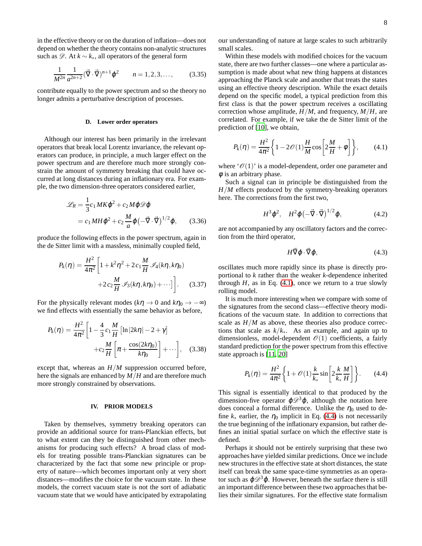in the effective theory or on the duration of inflation—does not depend on whether the theory contains non-analytic structures such as  $\mathscr{D}$ . At  $k \sim k_*$ , all operators of the general form

$$
\frac{1}{M^{2n}} \frac{1}{a^{2n+2}} (\vec{\nabla} \cdot \vec{\nabla})^{n+1} \varphi^2 \qquad n = 1, 2, 3, \dots,
$$
 (3.35)

contribute equally to the power spectrum and so the theory no longer admits a perturbative description of processes.

### **D. Lower order operators**

Although our interest has been primarily in the irrelevant operators that break local Lorentz invariance, the relevant operators can produce, in principle, a much larger effect on the power spectrum and are therefore much more strongly constrain the amount of symmetry breaking that could have occurred at long distances during an inflationary era. For example, the two dimension-three operators considered earlier,

$$
\mathcal{L}_R = \frac{1}{3} c_1 M K \varphi^2 + c_2 M \varphi \mathcal{D} \varphi
$$
  
=  $c_1 M H \varphi^2 + c_2 \frac{M}{a} \varphi \left( -\vec{\nabla} \cdot \vec{\nabla} \right)^{1/2} \varphi,$  (3.36)

produce the following effects in the power spectrum, again in the de Sitter limit with a massless, minimally coupled field,

$$
P_k(\eta) = \frac{H^2}{4\pi^2} \left[ 1 + k^2 \eta^2 + 2 c_1 \frac{M}{H} \mathcal{I}_4(k\eta, k\eta_0) + 2 c_2 \frac{M}{H} \mathcal{I}_3(k\eta, k\eta_0) + \cdots \right].
$$
 (3.37)

For the physically relevant modes ( $k\eta \rightarrow 0$  and  $k\eta_0 \rightarrow -\infty$ ) we find effects with essentially the same behavior as before,

$$
P_k(\eta) = \frac{H^2}{4\pi^2} \left[ 1 - \frac{4}{3} c_1 \frac{M}{H} \left[ \ln|2k\eta| - 2 + \gamma \right] + c_2 \frac{M}{H} \left[ \pi + \frac{\cos(2k\eta_0)}{k\eta_0} \right] + \cdots \right], \quad (3.38)
$$

except that, whereas an *H*/*M* suppression occurred before, here the signals are enhanced by *M*/*H* and are therefore much more strongly constrained by observations.

# <span id="page-7-0"></span>**IV. PRIOR MODELS**

Taken by themselves, symmetry breaking operators can provide an additional source for trans-Planckian effects, but to what extent can they be distinguished from other mechanisms for producing such effects? A broad class of models for treating possible trans-Planckian signatures can be characterized by the fact that some new principle or property of nature—which becomes important only at very short distances—modifies the choice for the vacuum state. In these models, the correct vacuum state is not the sort of adiabatic vacuum state that we would have anticipated by extrapolating our understanding of nature at large scales to such arbitrarily small scales.

Within these models with modified choices for the vacuum state, there are two further classes—one where a particular assumption is made about what new thing happens at distances approaching the Planck scale and another that treats the states using an effective theory description. While the exact details depend on the specific model, a typical prediction from this first class is that the power spectrum receives a oscillating correction whose amplitude, *H*/*M*, and frequency, *M*/*H*, are correlated. For example, if we take the de Sitter limit of the prediction of [\[10\]](#page-10-5), we obtain,

<span id="page-7-1"></span>
$$
P_k(\eta) = \frac{H^2}{4\pi^2} \left\{ 1 - 2\mathcal{O}(1)\frac{H}{M}\cos\left[2\frac{M}{H} + \phi\right] \right\},\qquad(4.1)
$$

where  $\mathcal{O}(1)$  is a model-dependent, order one parameter and  $\phi$  is an arbitrary phase.

Such a signal can in principle be distinguished from the *H*/*M* effects produced by the symmetry-breaking operators here. The corrections from the first two,

$$
H^3 \varphi^2, \quad H^2 \varphi \left( -\vec{\nabla} \cdot \vec{\nabla} \right)^{1/2} \varphi, \tag{4.2}
$$

are not accompanied by any oscillatory factors and the correction from the third operator,

$$
H\vec{\nabla}\varphi\cdot\vec{\nabla}\varphi,\tag{4.3}
$$

oscillates much more rapidly since its phase is directly proportional to *k* rather than the weaker *k*-dependence inherited through  $H$ , as in Eq.  $(4.1)$ , once we return to a true slowly rolling model.

It is much more interesting when we compare with some of the signatures from the second class—effective theory modifications of the vacuum state. In addition to corrections that scale as  $H/M$  as above, these theories also produce corrections that scale as  $k/k_*$ . As an example, and again up to dimensionless, model-dependent  $\mathcal{O}(1)$  coefficients, a fairly standard prediction for the power spectrum from this effective state approach is [\[11](#page-10-6), [20](#page-10-15)]

<span id="page-7-2"></span>
$$
P_k(\eta) = \frac{H^2}{4\pi^2} \left\{ 1 + \mathcal{O}(1) \frac{k}{k_*} \sin \left[ 2 \frac{k}{k_*} \frac{M}{H} \right] \right\}.
$$
 (4.4)

This signal is essentially identical to that produced by the dimension-five operator  $\varphi \mathcal{D}^3 \varphi$ , although the notation here does conceal a formal difference. Unlike the  $\eta_0$  used to define  $k_*$  earlier, the  $\eta_0$  implicit in Eq. [\(4.4\)](#page-7-2) is not necessarily the true beginning of the inflationary expansion, but rather defines an initial spatial surface on which the effective state is defined.

Perhaps it should not be entirely surprising that these two approaches have yielded similar predictions. Once we include new structures in the effective state at short distances, the state itself can break the same space-time symmetries as an operator such as  $\varphi \mathcal{D}^3 \varphi$ . However, beneath the surface there is still an important difference between these two approaches that belies their similar signatures. For the effective state formalism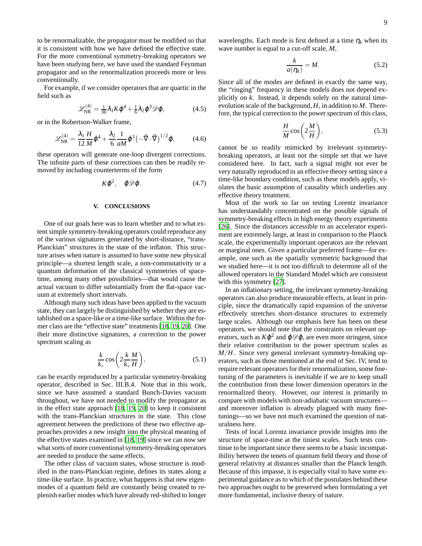to be renormalizable, the propagator must be modified so that it is consistent with how we have defined the effective state. For the more conventional symmetry-breaking operators we have been studying here, we have used the standard Feynman propagator and so the renormalization proceeds more or less conventionally.

For example, if we consider operators that are quartic in the field such as

$$
\mathscr{L}_{\rm NR}^{(4)} = \frac{1}{36} \lambda_1 K \varphi^4 + \frac{1}{6} \lambda_2 \varphi^3 \mathscr{D} \varphi, \tag{4.5}
$$

or in the Robertson-Walker frame,

$$
\mathscr{L}_{\text{NR}}^{(4)} = \frac{\lambda_1}{12} \frac{H}{M} \varphi^4 + \frac{\lambda_2}{6} \frac{1}{aM} \varphi^3 \left( -\vec{\nabla} \cdot \vec{\nabla} \right)^{1/2} \varphi, \tag{4.6}
$$

these operators will generate one-loop divergent corrections. The infinite parts of these corrections can then be readily removed by including counterterms of the form

$$
K\varphi^2, \quad \varphi \mathscr{D}\varphi. \tag{4.7}
$$

### <span id="page-8-0"></span>**V. CONCLUSIONS**

One of our goals here was to learn whether and to what extent simple symmetry-breaking operators could reproduce any of the various signatures generated by short-distance, "trans-Planckian" structures in the state of the inflaton. This structure arises when nature is assumed to have some new physical principle—a shortest length scale, a non-commutativity or a quantum deformation of the classical symmetries of spacetime, among many other possibilities—that would cause the actual vacuum to differ substantially from the flat-space vacuum at extremely short intervals.

Although many such ideas have been applied to the vacuum state, they can largely be distinguished by whether they are established on a space-like or a time-like surface. Within the former class are the "effective state" treatments [\[18,](#page-10-13) [19](#page-10-14), [20\]](#page-10-15). One their more distinctive signatures, a correction to the power spectrum scaling as

$$
\frac{k}{k_*} \cos\left(2\frac{k}{k_*} \frac{M}{H}\right),\tag{5.1}
$$

can be exactly reproduced by a particular symmetry-breaking operator, described in Sec. III.B.4. Note that in this work, since we have assumed a standard Bunch-Davies vacuum throughout, we have not needed to modify the propagator as in the effect state approach [\[18](#page-10-13), [19,](#page-10-14) [20\]](#page-10-15) to keep it consistent with the trans-Planckian structures in the state. This close agreement between the predictions of these two effective approaches provides a new insight into the physical meaning of the effective states examined in [\[18,](#page-10-13) [19\]](#page-10-14) since we can now see what sorts of more conventional symmetry-breaking operators are needed to produce the same effects.

The other class of vacuum states, whose structure is modified in the trans-Planckian regime, defines its states along a time-like surface. In practice, what happens is that new eigenmodes of a quantum field are constantly being created to replenish earlier modes which have already red-shifted to longer

wavelengths. Each mode is first defined at a time  $\eta_k$  when its wave number is equal to a cut-off scale, *M*,

$$
\frac{k}{a(\eta_k)} = M.
$$
\n(5.2)

Since all of the modes are defined in exactly the same way, the "ringing" frequency in these models does not depend explicitly on *k*. Instead, it depends solely on the natural timeevolution scale of the background, *H*, in addition to *M*. Therefore, the typical correction to the power spectrum of this class,

$$
\frac{H}{M}\cos\left(2\frac{M}{H}\right),\tag{5.3}
$$

cannot be so readily mimicked by irrelevant symmetrybreaking operators, at least not the simple set that we have considered here. In fact, such a signal might not ever be very naturally reproduced in an effective theory setting since a time-like boundary condition, such as these models apply, violates the basic assumption of causality which underlies any effective theory treatment.

Most of the work so far on testing Lorentz invariance has understandably concentrated on the possible signals of symmetry-breaking effects in high energy theory experiments [\[26](#page-10-21)]. Since the distances accessible to an accelerator experiment are extremely large, at least in comparison to the Planck scale, the experimentally important operators are the relevant or marginal ones. Given a particular preferred frame—for example, one such as the spatially symmetric background that we studied here—it is not too difficult to determine all of the allowed operators in the Standard Model which are consistent with this symmetry [\[27\]](#page-10-22).

In an inflationary setting, the irrelevant symmetry-breaking operators can also produce measurable effects, at least in principle, since the dramatically rapid expansion of the universe effectively stretches short-distance structures to extremely large scales. Although our emphasis here has been on these operators, we should note that the constraints on relevant operators, such as  $K\varphi^2$  and  $\varphi \mathscr{D} \varphi$ , are even more stringent, since their relative contribution to the power spectrum scales as *M*/*H*. Since very general irrelevant symmetry-breaking operators, such as those mentioned at the end of Sec. IV, tend to require relevant operators for their renormalization, some finetuning of the parameters is inevitable if we are to keep small the contribution from these lower dimension operators in the renormalized theory. However, our interest is primarily to compare with models with non-adiabatic vacuum structures and moreover inflation is already plagued with many finetunings—so we have not much examined the question of naturalness here.

Tests of local Lorentz invariance provide insights into the structure of space-time at the tiniest scales. Such tests continue to be important since there seems to be a basic incompatibility between the tenets of quantum field theory and those of general relativity at distances smaller than the Planck length. Because of this impasse, it is especially vital to have some experimental guidance as to which of the postulates behind these two approaches ought to be preserved when formulating a yet more fundamental, inclusive theory of nature.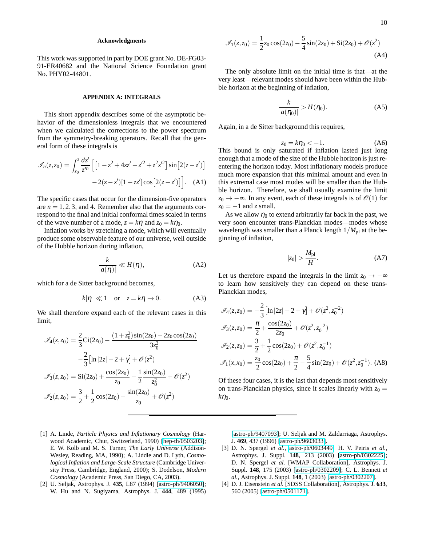### **Acknowledgments**

This work was supported in part by DOE grant No. DE-FG03- 91-ER40682 and the National Science Foundation grant No. PHY02-44801.

### **APPENDIX A: INTEGRALS**

This short appendix describes some of the asymptotic behavior of the dimensionless integrals that we encountered when we calculated the corrections to the power spectrum from the symmetry-breaking operators. Recall that the general form of these integrals is

$$
\mathcal{I}_n(z, z_0) = \int_{z_0}^z \frac{dz'}{z'^n} \left[ \left[ 1 - z^2 + 4zz' - z'^2 + z^2 z'^2 \right] \sin \left[ 2(z - z') \right] - 2(z - z') \left[ 1 + zz' \right] \cos \left[ 2(z - z') \right] \right]. \tag{A1}
$$

The specific cases that occur for the dimension-five operators are  $n = 1, 2, 3$ , and 4. Remember also that the arguments correspond to the final and initial conformal times scaled in terms of the wave number of a mode,  $z = k\eta$  and  $z_0 = k\eta_0$ .

Inflation works by stretching a mode, which will eventually produce some observable feature of our universe, well outside of the Hubble horizon during inflation,

$$
\frac{k}{|a(\eta)|} \ll H(\eta),\tag{A2}
$$

which for a de Sitter background becomes,

$$
k|\eta| \ll 1 \quad \text{or} \quad z = k\eta \to 0. \tag{A3}
$$

We shall therefore expand each of the relevant cases in this limit,

$$
\mathcal{I}_4(z, z_0) = \frac{2}{3} \text{Ci}(2z_0) - \frac{(1+z_0^2)\sin(2z_0) - 2z_0\cos(2z_0)}{3z_0^3}
$$

$$
-\frac{2}{3} [\ln|2z| - 2 + \gamma] + \mathcal{O}(z^2)
$$

$$
\mathcal{I}_3(z, z_0) = \text{Si}(2z_0) + \frac{\cos(2z_0)}{z_0} - \frac{1}{2} \frac{\sin(2z_0)}{z_0^2} + \mathcal{O}(z^2)
$$

$$
\mathcal{I}_2(z, z_0) = \frac{3}{2} + \frac{1}{2}\cos(2z_0) - \frac{\sin(2z_0)}{z_0} + \mathcal{O}(z^2)
$$

$$
\mathcal{I}_1(z, z_0) = \frac{1}{2}z_0 \cos(2z_0) - \frac{5}{4}\sin(2z_0) + \text{Si}(2z_0) + \mathcal{O}(z^2)
$$
\n(A4)

The only absolute limit on the initial time is that—at the very least—relevant modes should have been within the Hubble horizon at the beginning of inflation,

$$
\frac{k}{|a(\eta_0)|} > H(\eta_0). \tag{A5}
$$

Again, in a de Sitter background this requires,

$$
z_0 = k\eta_0 < -1. \tag{A6}
$$

This bound is only saturated if inflation lasted just long enough that a mode of the size of the Hubble horizon is just reentering the horizon today. Most inflationary models produce much more expansion that this minimal amount and even in this extremal case most modes will be smaller than the Hubble horizon. Therefore, we shall usually examine the limit  $z_0 \rightarrow -\infty$ . In any event, each of these integrals is of  $\mathcal{O}(1)$  for  $z_0 = -1$  and *z* small.

As we allow  $\eta_0$  to extend arbitrarily far back in the past, we very soon encounter trans-Planckian modes—modes whose wavelength was smaller than a Planck length  $1/M_{\rm pl}$  at the beginning of inflation,

$$
|z_0| > \frac{M_{\rm pl}}{H}.\tag{A7}
$$

Let us therefore expand the integrals in the limit  $z_0 \rightarrow -\infty$ to learn how sensitively they can depend on these trans-Planckian modes,

$$
\mathcal{I}_4(z, z_0) = -\frac{2}{3} \left[ \ln|2z| - 2 + \gamma \right] + \mathcal{O}(z^2, z_0^{-2})
$$
  

$$
\mathcal{I}_3(z, z_0) = \frac{\pi}{2} + \frac{\cos(2z_0)}{2z_0} + \mathcal{O}(z^2, z_0^{-2})
$$
  

$$
\mathcal{I}_2(z, z_0) = \frac{3}{2} + \frac{1}{2} \cos(2z_0) + \mathcal{O}(z^2, z_0^{-1})
$$
  

$$
\mathcal{I}_1(x, x_0) = \frac{z_0}{2} \cos(2z_0) + \frac{\pi}{2} - \frac{5}{4} \sin(2z_0) + \mathcal{O}(z^2, z_0^{-1}).
$$
 (A8)

Of these four cases, it is the last that depends most sensitively on trans-Planckian physics, since it scales linearly with  $z_0 =$  $k\eta_0$ .

- <span id="page-9-0"></span>[1] A. Linde, *Particle Physics and Inflationary Cosmology* (Harwood Academic, Chur, Switzerland, 1990) [\[hep-th/0503203\]](http://arxiv.org/abs/hep-th/0503203); E. W. Kolb and M. S. Turner, *The Early Universe* (Addison-Wesley, Reading, MA, 1990); A. Liddle and D. Lyth, *Cosmological Inflation and Large-Scale Structure* (Cambridge University Press, Cambridge, England, 2000); S. Dodelson, *Modern Cosmology* (Academic Press, San Diego, CA, 2003).
- <span id="page-9-1"></span>[2] U. Seljak, Astrophys. J. **435**, L87 (1994) [\[astro-ph/9406050\]](http://arxiv.org/abs/astro-ph/9406050); W. Hu and N. Sugiyama, Astrophys. J. **444**, 489 (1995)

[\[astro-ph/9407093\]](http://arxiv.org/abs/astro-ph/9407093); U. Seljak and M. Zaldarriaga, Astrophys. J. **469**, 437 (1996) [\[astro-ph/9603033\]](http://arxiv.org/abs/astro-ph/9603033).

- <span id="page-9-2"></span>[3] D. N. Spergel *et al.*, [astro-ph/0603449;](http://arxiv.org/abs/astro-ph/0603449) H. V. Peiris *et al.*, Astrophys. J. Suppl. **148**, 213 (2003) [\[astro-ph/0302225\]](http://arxiv.org/abs/astro-ph/0302225); D. N. Spergel *et al.* [WMAP Collaboration], Astrophys. J. Suppl. **148**, 175 (2003) [\[astro-ph/0302209\]](http://arxiv.org/abs/astro-ph/0302209); C. L. Bennett *et al.*, Astrophys. J. Suppl. **148**, 1 (2003) [\[astro-ph/0302207\]](http://arxiv.org/abs/astro-ph/0302207).
- <span id="page-9-3"></span>[4] D. J. Eisenstein *et al.* [SDSS Collaboration], Astrophys. J. **633**, 560 (2005) [\[astro-ph/0501171\]](http://arxiv.org/abs/astro-ph/0501171).